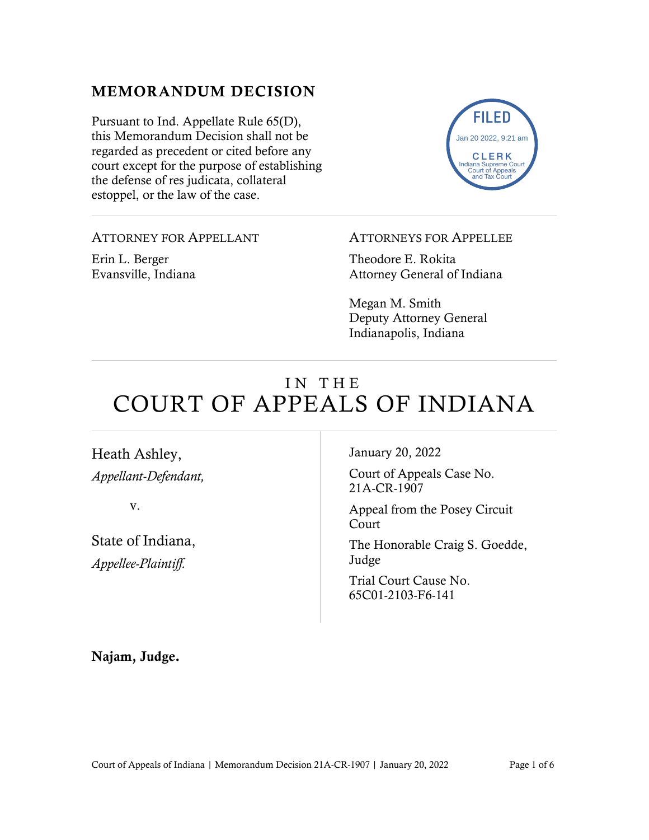# MEMORANDUM DECISION

Pursuant to Ind. Appellate Rule 65(D), this Memorandum Decision shall not be regarded as precedent or cited before any court except for the purpose of establishing the defense of res judicata, collateral estoppel, or the law of the case.



### ATTORNEY FOR APPELLANT

Erin L. Berger Evansville, Indiana

### ATTORNEYS FOR APPELLEE

Theodore E. Rokita Attorney General of Indiana

Megan M. Smith Deputy Attorney General Indianapolis, Indiana

# IN THE COURT OF APPEALS OF INDIANA

Heath Ashley, *Appellant-Defendant,*

v.

State of Indiana, *Appellee-Plaintiff.*

January 20, 2022

Court of Appeals Case No. 21A-CR-1907

Appeal from the Posey Circuit Court

The Honorable Craig S. Goedde, Judge

Trial Court Cause No. 65C01-2103-F6-141

Najam, Judge.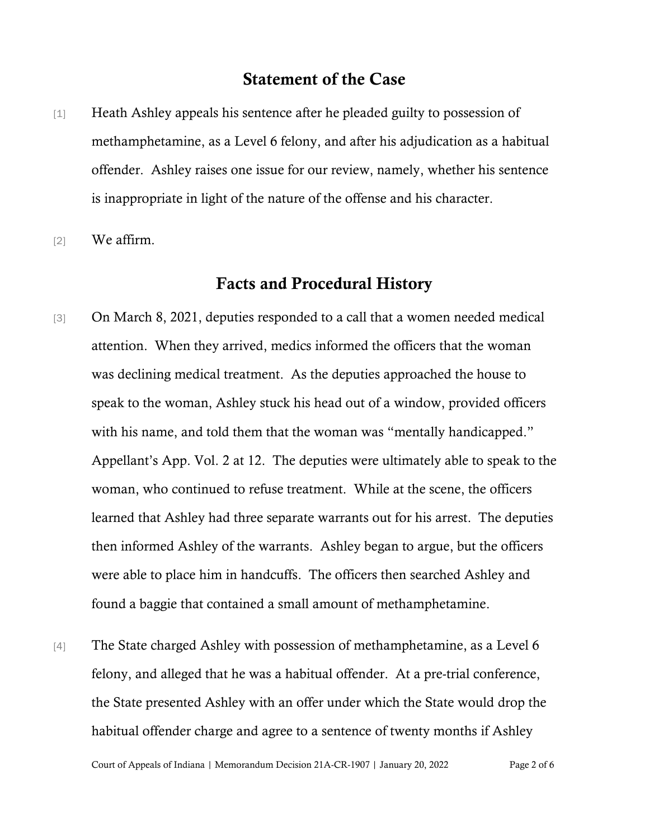# Statement of the Case

- [1] Heath Ashley appeals his sentence after he pleaded guilty to possession of methamphetamine, as a Level 6 felony, and after his adjudication as a habitual offender. Ashley raises one issue for our review, namely, whether his sentence is inappropriate in light of the nature of the offense and his character.
- [2] We affirm.

## Facts and Procedural History

- [3] On March 8, 2021, deputies responded to a call that a women needed medical attention. When they arrived, medics informed the officers that the woman was declining medical treatment. As the deputies approached the house to speak to the woman, Ashley stuck his head out of a window, provided officers with his name, and told them that the woman was "mentally handicapped." Appellant's App. Vol. 2 at 12. The deputies were ultimately able to speak to the woman, who continued to refuse treatment. While at the scene, the officers learned that Ashley had three separate warrants out for his arrest. The deputies then informed Ashley of the warrants. Ashley began to argue, but the officers were able to place him in handcuffs. The officers then searched Ashley and found a baggie that contained a small amount of methamphetamine.
- [4] The State charged Ashley with possession of methamphetamine, as a Level 6 felony, and alleged that he was a habitual offender. At a pre-trial conference, the State presented Ashley with an offer under which the State would drop the habitual offender charge and agree to a sentence of twenty months if Ashley

Court of Appeals of Indiana | Memorandum Decision 21A-CR-1907 | January 20, 2022 Page 2 of 6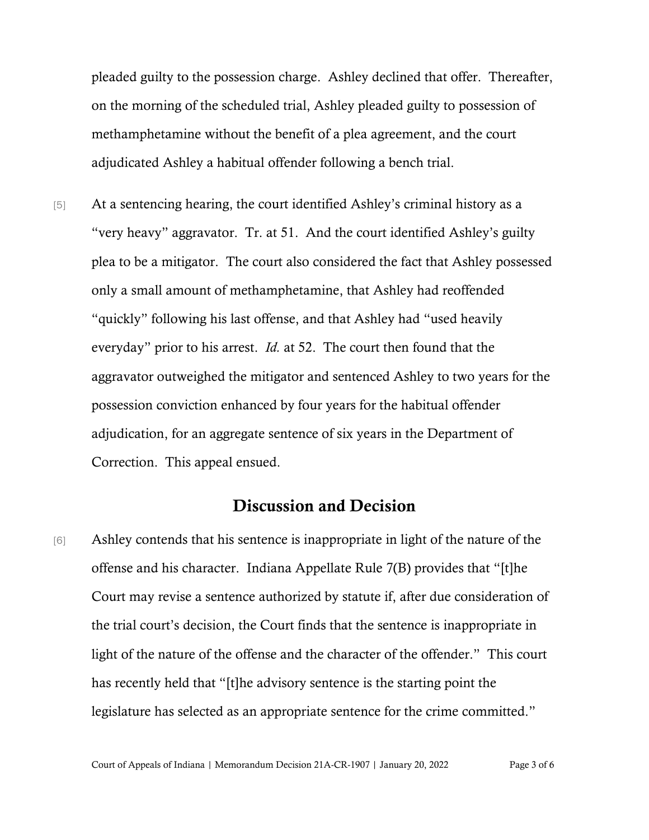pleaded guilty to the possession charge. Ashley declined that offer. Thereafter, on the morning of the scheduled trial, Ashley pleaded guilty to possession of methamphetamine without the benefit of a plea agreement, and the court adjudicated Ashley a habitual offender following a bench trial.

[5] At a sentencing hearing, the court identified Ashley's criminal history as a "very heavy" aggravator. Tr. at 51. And the court identified Ashley's guilty plea to be a mitigator. The court also considered the fact that Ashley possessed only a small amount of methamphetamine, that Ashley had reoffended "quickly" following his last offense, and that Ashley had "used heavily everyday" prior to his arrest. *Id.* at 52. The court then found that the aggravator outweighed the mitigator and sentenced Ashley to two years for the possession conviction enhanced by four years for the habitual offender adjudication, for an aggregate sentence of six years in the Department of Correction. This appeal ensued.

## Discussion and Decision

[6] Ashley contends that his sentence is inappropriate in light of the nature of the offense and his character. [Indiana Appellate Rule 7\(B\)](https://1.next.westlaw.com/Link/Document/FullText?findType=L&pubNum=1007025&cite=INSRAPR7&originatingDoc=I0c1a6460e39411e692ccd0392c3f85a3&refType=LQ&originationContext=document&transitionType=DocumentItem&contextData=(sc.Keycite)) provides that "[t]he Court may revise a sentence authorized by statute if, after due consideration of the trial court's decision, the Court finds that the sentence is inappropriate in light of the nature of the offense and the character of the offender." This court has recently held that "[t]he advisory sentence is the starting point the legislature has selected as an appropriate sentence for the crime committed."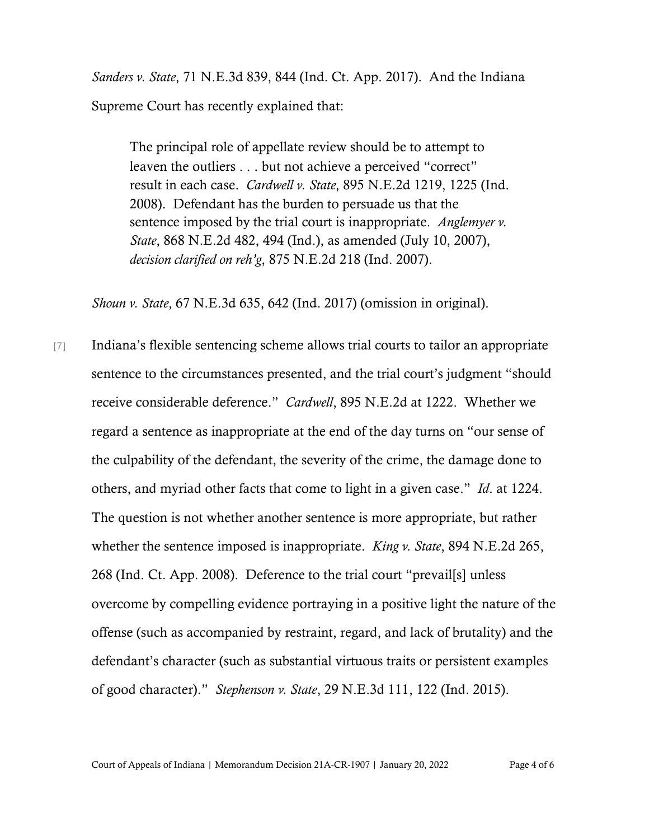*Sanders v. State*, 71 N.E.3d 839, 844 (Ind. Ct. App. 2017). And the Indiana Supreme Court has recently explained that:

The principal role of appellate review should be to attempt to leaven the outliers . . . but not achieve a perceived "correct" result in each case. *Cardwell v. State*[, 895 N.E.2d 1219, 1225 \(Ind.](https://1.next.westlaw.com/Link/Document/FullText?findType=Y&serNum=2017439923&pubNum=0000578&originatingDoc=I0c1a6460e39411e692ccd0392c3f85a3&refType=RP&fi=co_pp_sp_578_1225&originationContext=document&transitionType=DocumentItem&contextData=(sc.Keycite)#co_pp_sp_578_1225)  [2008\).](https://1.next.westlaw.com/Link/Document/FullText?findType=Y&serNum=2017439923&pubNum=0000578&originatingDoc=I0c1a6460e39411e692ccd0392c3f85a3&refType=RP&fi=co_pp_sp_578_1225&originationContext=document&transitionType=DocumentItem&contextData=(sc.Keycite)#co_pp_sp_578_1225) Defendant has the burden to persuade us that the sentence imposed by the trial court is inappropriate. *[Anglemyer v.](https://1.next.westlaw.com/Link/Document/FullText?findType=Y&serNum=2012545885&pubNum=0000578&originatingDoc=I0c1a6460e39411e692ccd0392c3f85a3&refType=RP&fi=co_pp_sp_578_494&originationContext=document&transitionType=DocumentItem&contextData=(sc.Keycite)#co_pp_sp_578_494)  [State](https://1.next.westlaw.com/Link/Document/FullText?findType=Y&serNum=2012545885&pubNum=0000578&originatingDoc=I0c1a6460e39411e692ccd0392c3f85a3&refType=RP&fi=co_pp_sp_578_494&originationContext=document&transitionType=DocumentItem&contextData=(sc.Keycite)#co_pp_sp_578_494)*[, 868 N.E.2d 482, 494 \(Ind.\),](https://1.next.westlaw.com/Link/Document/FullText?findType=Y&serNum=2012545885&pubNum=0000578&originatingDoc=I0c1a6460e39411e692ccd0392c3f85a3&refType=RP&fi=co_pp_sp_578_494&originationContext=document&transitionType=DocumentItem&contextData=(sc.Keycite)#co_pp_sp_578_494) as amended (July 10, 2007), *decision clarified on reh'g*, [875 N.E.2d 218 \(Ind. 2007\).](https://1.next.westlaw.com/Link/Document/FullText?findType=Y&serNum=2013865237&pubNum=0000578&originatingDoc=I0c1a6460e39411e692ccd0392c3f85a3&refType=RP&originationContext=document&transitionType=DocumentItem&contextData=(sc.Keycite))

*Shoun v. State*, 67 N.E.3d 635, 642 (Ind. 2017) (omission in original).

[7] Indiana's flexible sentencing scheme allows trial courts to tailor an appropriate sentence to the circumstances presented, and the trial court's judgment "should receive considerable deference." *Cardwell*, 895 N.E.2d at 1222. Whether we regard a sentence as inappropriate at the end of the day turns on "our sense of the culpability of the defendant, the severity of the crime, the damage done to others, and myriad other facts that come to light in a given case." *Id*. at 1224. The question is not whether another sentence is more appropriate, but rather whether the sentence imposed is inappropriate. *King v. State*, 894 N.E.2d 265, 268 (Ind. Ct. App. 2008). Deference to the trial court "prevail[s] unless overcome by compelling evidence portraying in a positive light the nature of the offense (such as accompanied by restraint, regard, and lack of brutality) and the defendant's character (such as substantial virtuous traits or persistent examples of good character)." *Stephenson v. State*, 29 N.E.3d 111, 122 (Ind. 2015).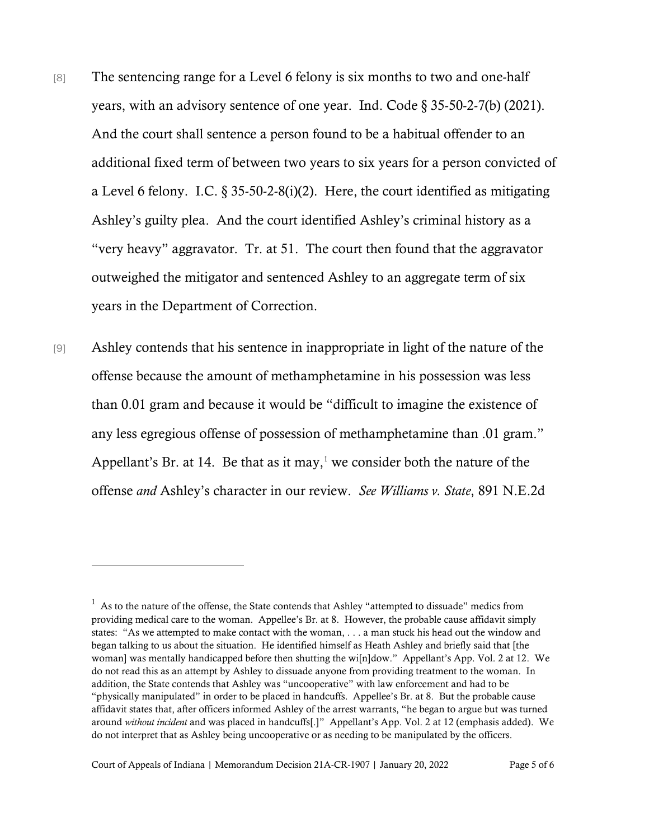- [8] The sentencing range for a Level 6 felony is six months to two and one-half years, with an advisory sentence of one year. Ind. Code § 35-50-2-7(b) (2021). And the court shall sentence a person found to be a habitual offender to an additional fixed term of between two years to six years for a person convicted of a Level 6 felony. I.C.  $\S 35-50-2-8(i)(2)$ . Here, the court identified as mitigating Ashley's guilty plea. And the court identified Ashley's criminal history as a "very heavy" aggravator. Tr. at 51. The court then found that the aggravator outweighed the mitigator and sentenced Ashley to an aggregate term of six years in the Department of Correction.
- [9] Ashley contends that his sentence in inappropriate in light of the nature of the offense because the amount of methamphetamine in his possession was less than 0.01 gram and because it would be "difficult to imagine the existence of any less egregious offense of possession of methamphetamine than .01 gram." Appellant's Br. at [1](#page-4-0)4. Be that as it may, $<sup>1</sup>$  we consider both the nature of the</sup> offense *and* Ashley's character in our review. *See Williams v. State*, 891 N.E.2d

<span id="page-4-0"></span> $<sup>1</sup>$  As to the nature of the offense, the State contends that Ashley "attempted to dissuade" medics from</sup> providing medical care to the woman. Appellee's Br. at 8. However, the probable cause affidavit simply states: "As we attempted to make contact with the woman, . . . a man stuck his head out the window and began talking to us about the situation. He identified himself as Heath Ashley and briefly said that [the woman] was mentally handicapped before then shutting the wi[n]dow." Appellant's App. Vol. 2 at 12. We do not read this as an attempt by Ashley to dissuade anyone from providing treatment to the woman. In addition, the State contends that Ashley was "uncooperative" with law enforcement and had to be "physically manipulated" in order to be placed in handcuffs. Appellee's Br. at 8. But the probable cause affidavit states that, after officers informed Ashley of the arrest warrants, "he began to argue but was turned around *without incident* and was placed in handcuffs[.]" Appellant's App. Vol. 2 at 12 (emphasis added). We do not interpret that as Ashley being uncooperative or as needing to be manipulated by the officers.